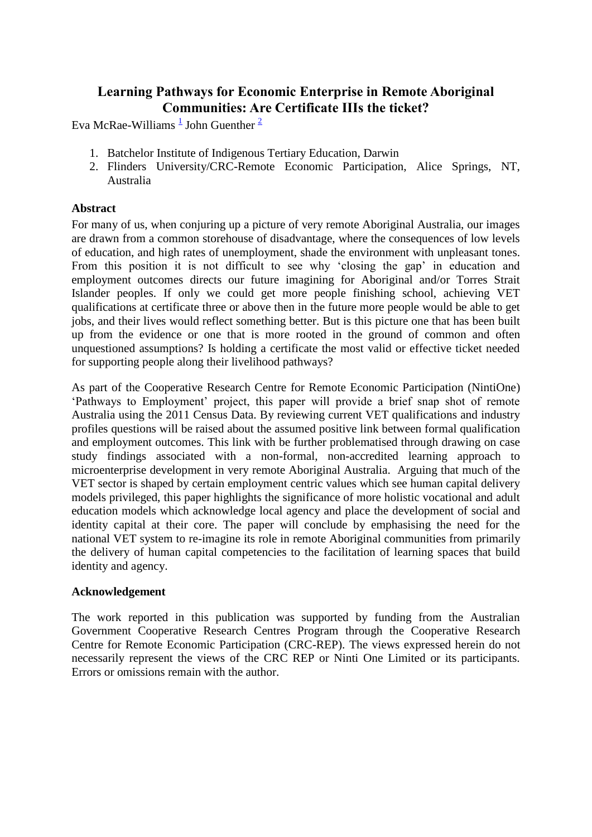# **Learning Pathways for Economic Enterprise in Remote Aboriginal Communities: Are Certificate IIIs the ticket?**

Eva McRae-Williams  $\frac{1}{2}$  $\frac{1}{2}$  $\frac{1}{2}$  $\frac{1}{2}$  $\frac{1}{2}$  John Guenther  $\frac{2}{3}$ 

- 1. Batchelor Institute of Indigenous Tertiary Education, Darwin
- 2. Flinders University/CRC-Remote Economic Participation, Alice Springs, NT, Australia

### **Abstract**

For many of us, when conjuring up a picture of very remote Aboriginal Australia, our images are drawn from a common storehouse of disadvantage, where the consequences of low levels of education, and high rates of unemployment, shade the environment with unpleasant tones. From this position it is not difficult to see why 'closing the gap' in education and employment outcomes directs our future imagining for Aboriginal and/or Torres Strait Islander peoples. If only we could get more people finishing school, achieving VET qualifications at certificate three or above then in the future more people would be able to get jobs, and their lives would reflect something better. But is this picture one that has been built up from the evidence or one that is more rooted in the ground of common and often unquestioned assumptions? Is holding a certificate the most valid or effective ticket needed for supporting people along their livelihood pathways?

As part of the Cooperative Research Centre for Remote Economic Participation (NintiOne) 'Pathways to Employment' project, this paper will provide a brief snap shot of remote Australia using the 2011 Census Data. By reviewing current VET qualifications and industry profiles questions will be raised about the assumed positive link between formal qualification and employment outcomes. This link with be further problematised through drawing on case study findings associated with a non-formal, non-accredited learning approach to microenterprise development in very remote Aboriginal Australia. Arguing that much of the VET sector is shaped by certain employment centric values which see human capital delivery models privileged, this paper highlights the significance of more holistic vocational and adult education models which acknowledge local agency and place the development of social and identity capital at their core. The paper will conclude by emphasising the need for the national VET system to re-imagine its role in remote Aboriginal communities from primarily the delivery of human capital competencies to the facilitation of learning spaces that build identity and agency.

# **Acknowledgement**

The work reported in this publication was supported by funding from the Australian Government Cooperative Research Centres Program through the Cooperative Research Centre for Remote Economic Participation (CRC-REP). The views expressed herein do not necessarily represent the views of the CRC REP or Ninti One Limited or its participants. Errors or omissions remain with the author.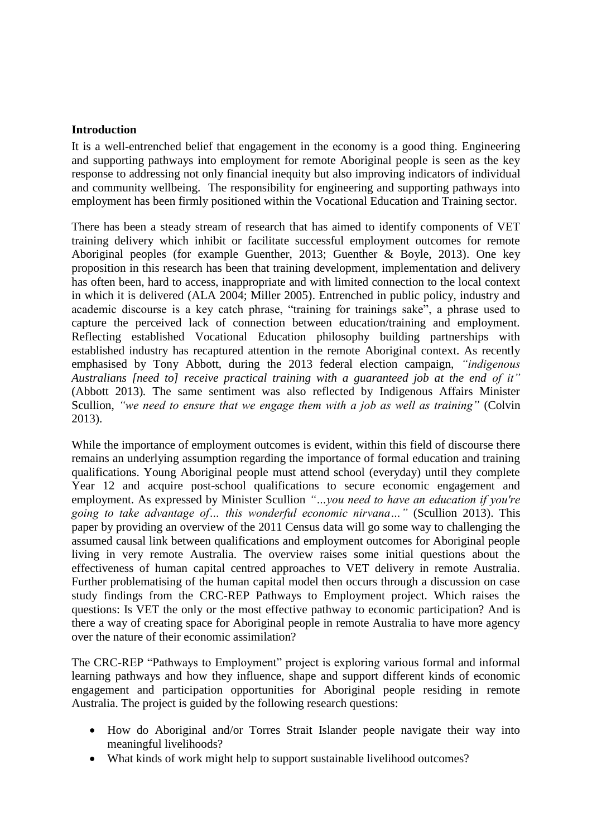#### **Introduction**

It is a well-entrenched belief that engagement in the economy is a good thing. Engineering and supporting pathways into employment for remote Aboriginal people is seen as the key response to addressing not only financial inequity but also improving indicators of individual and community wellbeing. The responsibility for engineering and supporting pathways into employment has been firmly positioned within the Vocational Education and Training sector.

There has been a steady stream of research that has aimed to identify components of VET training delivery which inhibit or facilitate successful employment outcomes for remote Aboriginal peoples (for example Guenther, 2013; Guenther & Boyle, 2013). One key proposition in this research has been that training development, implementation and delivery has often been, hard to access, inappropriate and with limited connection to the local context in which it is delivered (ALA 2004; Miller 2005). Entrenched in public policy, industry and academic discourse is a key catch phrase, "training for trainings sake", a phrase used to capture the perceived lack of connection between education/training and employment. Reflecting established Vocational Education philosophy building partnerships with established industry has recaptured attention in the remote Aboriginal context. As recently emphasised by Tony Abbott, during the 2013 federal election campaign, *"indigenous Australians [need to] receive practical training with a guaranteed job at the end of it"* (Abbott 2013)*.* The same sentiment was also reflected by Indigenous Affairs Minister Scullion, *"we need to ensure that we engage them with a job as well as training"* (Colvin 2013).

While the importance of employment outcomes is evident, within this field of discourse there remains an underlying assumption regarding the importance of formal education and training qualifications. Young Aboriginal people must attend school (everyday) until they complete Year 12 and acquire post-school qualifications to secure economic engagement and employment. As expressed by Minister Scullion *"…you need to have an education if you're going to take advantage of… this wonderful economic nirvana…"* (Scullion 2013). This paper by providing an overview of the 2011 Census data will go some way to challenging the assumed causal link between qualifications and employment outcomes for Aboriginal people living in very remote Australia. The overview raises some initial questions about the effectiveness of human capital centred approaches to VET delivery in remote Australia. Further problematising of the human capital model then occurs through a discussion on case study findings from the CRC-REP Pathways to Employment project. Which raises the questions: Is VET the only or the most effective pathway to economic participation? And is there a way of creating space for Aboriginal people in remote Australia to have more agency over the nature of their economic assimilation?

The CRC-REP "Pathways to Employment" project is exploring various formal and informal learning pathways and how they influence, shape and support different kinds of economic engagement and participation opportunities for Aboriginal people residing in remote Australia. The project is guided by the following research questions:

- How do Aboriginal and/or Torres Strait Islander people navigate their way into meaningful livelihoods?
- What kinds of work might help to support sustainable livelihood outcomes?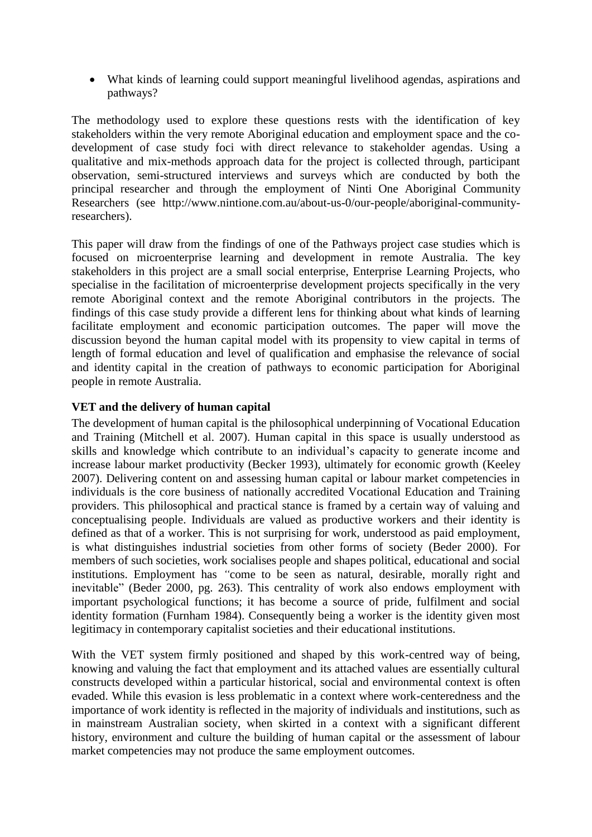What kinds of learning could support meaningful livelihood agendas, aspirations and pathways?

The methodology used to explore these questions rests with the identification of key stakeholders within the very remote Aboriginal education and employment space and the codevelopment of case study foci with direct relevance to stakeholder agendas. Using a qualitative and mix-methods approach data for the project is collected through, participant observation, semi-structured interviews and surveys which are conducted by both the principal researcher and through the employment of Ninti One Aboriginal Community Researchers (see http://www.nintione.com.au/about-us-0/our-people/aboriginal-communityresearchers).

This paper will draw from the findings of one of the Pathways project case studies which is focused on microenterprise learning and development in remote Australia. The key stakeholders in this project are a small social enterprise, Enterprise Learning Projects, who specialise in the facilitation of microenterprise development projects specifically in the very remote Aboriginal context and the remote Aboriginal contributors in the projects. The findings of this case study provide a different lens for thinking about what kinds of learning facilitate employment and economic participation outcomes. The paper will move the discussion beyond the human capital model with its propensity to view capital in terms of length of formal education and level of qualification and emphasise the relevance of social and identity capital in the creation of pathways to economic participation for Aboriginal people in remote Australia.

# **VET and the delivery of human capital**

The development of human capital is the philosophical underpinning of Vocational Education and Training (Mitchell et al. 2007). Human capital in this space is usually understood as skills and knowledge which contribute to an individual's capacity to generate income and increase labour market productivity (Becker 1993), ultimately for economic growth (Keeley 2007). Delivering content on and assessing human capital or labour market competencies in individuals is the core business of nationally accredited Vocational Education and Training providers. This philosophical and practical stance is framed by a certain way of valuing and conceptualising people. Individuals are valued as productive workers and their identity is defined as that of a worker. This is not surprising for work, understood as paid employment, is what distinguishes industrial societies from other forms of society (Beder 2000). For members of such societies, work socialises people and shapes political, educational and social institutions. Employment has *"*come to be seen as natural, desirable, morally right and inevitable" (Beder 2000, pg. 263). This centrality of work also endows employment with important psychological functions; it has become a source of pride, fulfilment and social identity formation (Furnham 1984). Consequently being a worker is the identity given most legitimacy in contemporary capitalist societies and their educational institutions.

With the VET system firmly positioned and shaped by this work-centred way of being, knowing and valuing the fact that employment and its attached values are essentially cultural constructs developed within a particular historical, social and environmental context is often evaded. While this evasion is less problematic in a context where work-centeredness and the importance of work identity is reflected in the majority of individuals and institutions, such as in mainstream Australian society, when skirted in a context with a significant different history, environment and culture the building of human capital or the assessment of labour market competencies may not produce the same employment outcomes.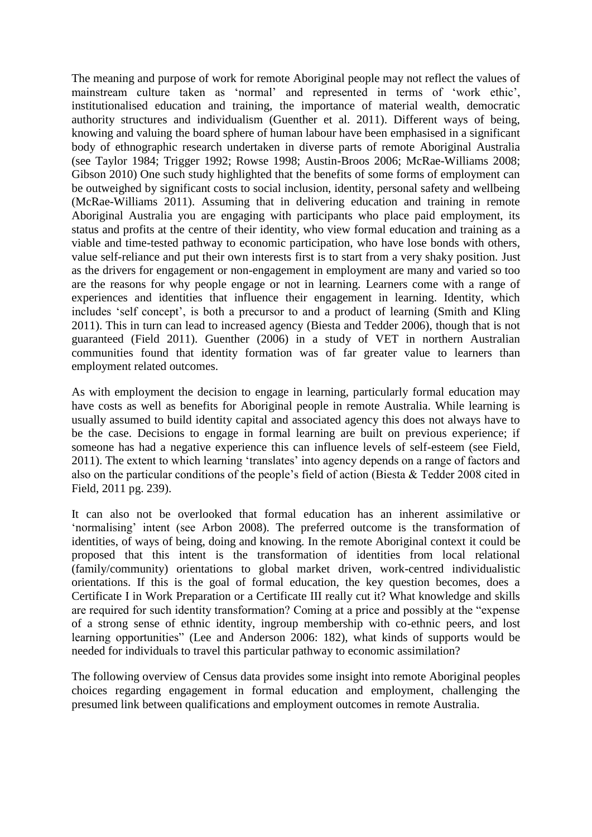The meaning and purpose of work for remote Aboriginal people may not reflect the values of mainstream culture taken as 'normal' and represented in terms of 'work ethic', institutionalised education and training, the importance of material wealth, democratic authority structures and individualism (Guenther et al. 2011). Different ways of being, knowing and valuing the board sphere of human labour have been emphasised in a significant body of ethnographic research undertaken in diverse parts of remote Aboriginal Australia (see Taylor 1984; Trigger 1992; Rowse 1998; Austin-Broos 2006; McRae-Williams 2008; Gibson 2010) One such study highlighted that the benefits of some forms of employment can be outweighed by significant costs to social inclusion, identity, personal safety and wellbeing (McRae-Williams 2011). Assuming that in delivering education and training in remote Aboriginal Australia you are engaging with participants who place paid employment, its status and profits at the centre of their identity, who view formal education and training as a viable and time-tested pathway to economic participation, who have lose bonds with others, value self-reliance and put their own interests first is to start from a very shaky position. Just as the drivers for engagement or non-engagement in employment are many and varied so too are the reasons for why people engage or not in learning. Learners come with a range of experiences and identities that influence their engagement in learning. Identity, which includes 'self concept', is both a precursor to and a product of learning (Smith and Kling 2011). This in turn can lead to increased agency (Biesta and Tedder 2006), though that is not guaranteed (Field 2011). Guenther (2006) in a study of VET in northern Australian communities found that identity formation was of far greater value to learners than employment related outcomes.

As with employment the decision to engage in learning, particularly formal education may have costs as well as benefits for Aboriginal people in remote Australia. While learning is usually assumed to build identity capital and associated agency this does not always have to be the case. Decisions to engage in formal learning are built on previous experience; if someone has had a negative experience this can influence levels of self-esteem (see Field, 2011). The extent to which learning 'translates' into agency depends on a range of factors and also on the particular conditions of the people's field of action (Biesta & Tedder 2008 cited in Field, 2011 pg. 239).

It can also not be overlooked that formal education has an inherent assimilative or 'normalising' intent (see Arbon 2008). The preferred outcome is the transformation of identities, of ways of being, doing and knowing. In the remote Aboriginal context it could be proposed that this intent is the transformation of identities from local relational (family/community) orientations to global market driven, work-centred individualistic orientations. If this is the goal of formal education, the key question becomes, does a Certificate I in Work Preparation or a Certificate III really cut it? What knowledge and skills are required for such identity transformation? Coming at a price and possibly at the "expense of a strong sense of ethnic identity, ingroup membership with co-ethnic peers, and lost learning opportunities" (Lee and Anderson 2006: 182), what kinds of supports would be needed for individuals to travel this particular pathway to economic assimilation?

The following overview of Census data provides some insight into remote Aboriginal peoples choices regarding engagement in formal education and employment, challenging the presumed link between qualifications and employment outcomes in remote Australia.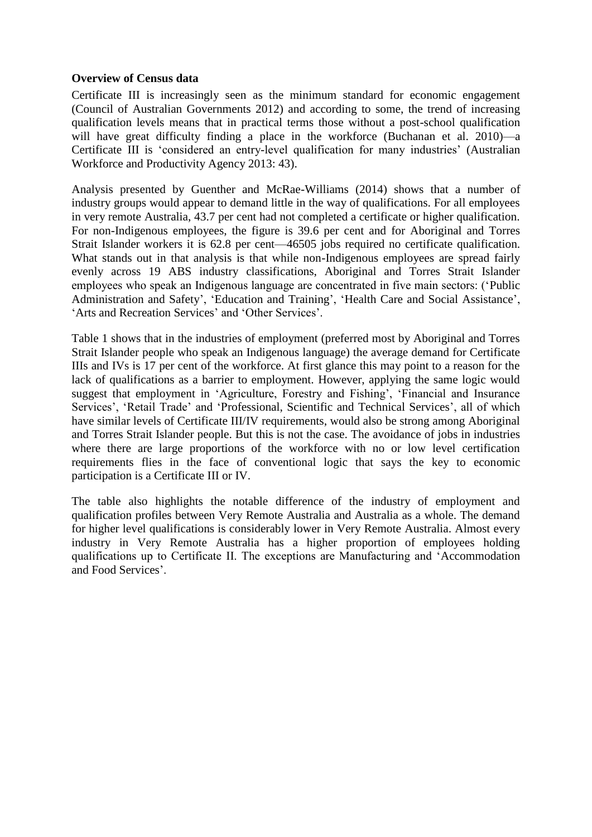#### **Overview of Census data**

Certificate III is increasingly seen as the minimum standard for economic engagement (Council of Australian Governments 2012) and according to some, the trend of increasing qualification levels means that in practical terms those without a post-school qualification will have great difficulty finding a place in the workforce (Buchanan et al. 2010)—a Certificate III is 'considered an entry-level qualification for many industries' (Australian Workforce and Productivity Agency 2013: 43).

Analysis presented by Guenther and McRae-Williams (2014) shows that a number of industry groups would appear to demand little in the way of qualifications. For all employees in very remote Australia, 43.7 per cent had not completed a certificate or higher qualification. For non-Indigenous employees, the figure is 39.6 per cent and for Aboriginal and Torres Strait Islander workers it is 62.8 per cent—46505 jobs required no certificate qualification. What stands out in that analysis is that while non-Indigenous employees are spread fairly evenly across 19 ABS industry classifications, Aboriginal and Torres Strait Islander employees who speak an Indigenous language are concentrated in five main sectors: ('Public Administration and Safety', 'Education and Training', 'Health Care and Social Assistance', 'Arts and Recreation Services' and 'Other Services'.

[Table 1](#page-5-0) shows that in the industries of employment (preferred most by Aboriginal and Torres Strait Islander people who speak an Indigenous language) the average demand for Certificate IIIs and IVs is 17 per cent of the workforce. At first glance this may point to a reason for the lack of qualifications as a barrier to employment. However, applying the same logic would suggest that employment in 'Agriculture, Forestry and Fishing', 'Financial and Insurance Services', 'Retail Trade' and 'Professional, Scientific and Technical Services', all of which have similar levels of Certificate III/IV requirements, would also be strong among Aboriginal and Torres Strait Islander people. But this is not the case. The avoidance of jobs in industries where there are large proportions of the workforce with no or low level certification requirements flies in the face of conventional logic that says the key to economic participation is a Certificate III or IV.

The table also highlights the notable difference of the industry of employment and qualification profiles between Very Remote Australia and Australia as a whole. The demand for higher level qualifications is considerably lower in Very Remote Australia. Almost every industry in Very Remote Australia has a higher proportion of employees holding qualifications up to Certificate II. The exceptions are Manufacturing and 'Accommodation and Food Services'.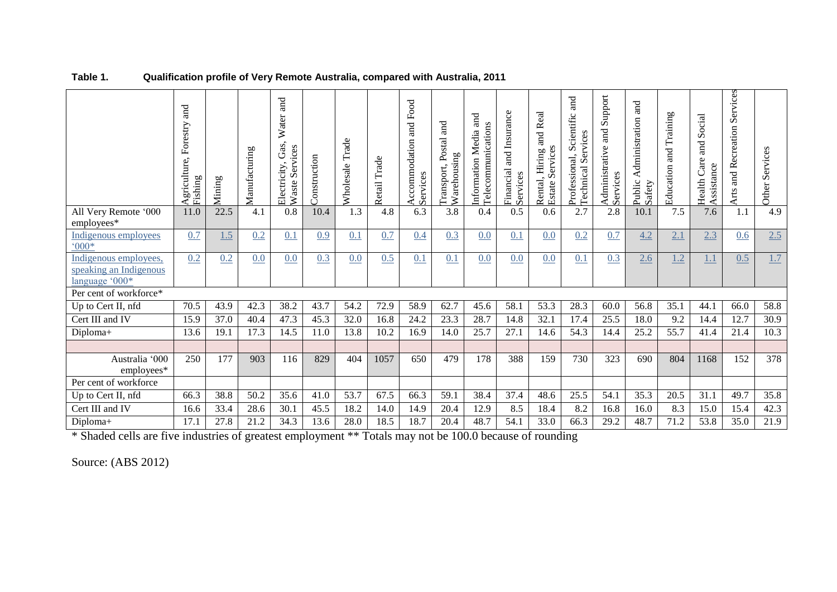|                                                                   | and<br>Agriculture, Forestry<br>Fishing | Mining | Manufacturing | Water and<br>Gas,<br>Services<br>Electricity<br>Waste | Construction | Trade<br>Wholesale | Retail Trade | and Food<br>Accommodation<br>Services | រ<br>ន<br>Postal<br>Warehousing<br>Transport | Media and<br>Telecommunications<br>Information | and Insurance<br>Financial<br>Services | Real<br>and<br>a<br>Services<br>Hiring<br>Rental,<br>Estate | and<br>cientific<br>vices<br>Ω<br>$\overline{\rm s}$<br>Professional,<br>cal<br>Technic | Support<br>and<br>Administrative<br>Services | and<br>Administration<br>Public<br>Safety | Training<br>and<br>Education | and Social<br>Health Care<br>Assistance | Services<br>and Recreation<br>Arts | Services<br>Other |
|-------------------------------------------------------------------|-----------------------------------------|--------|---------------|-------------------------------------------------------|--------------|--------------------|--------------|---------------------------------------|----------------------------------------------|------------------------------------------------|----------------------------------------|-------------------------------------------------------------|-----------------------------------------------------------------------------------------|----------------------------------------------|-------------------------------------------|------------------------------|-----------------------------------------|------------------------------------|-------------------|
| All Very Remote '000<br>employees*                                | 11.0                                    | 22.5   | 4.1           | 0.8                                                   | 10.4         | 1.3                | 4.8          | 6.3                                   | 3.8                                          | 0.4                                            | 0.5                                    | 0.6                                                         | 2.7                                                                                     | 2.8                                          | 10.1                                      | 7.5                          | 7.6                                     | 1.1                                | 4.9               |
| Indigenous employees<br>$.000*$                                   | 0.7                                     | 1.5    | 0.2           | 0.1                                                   | 0.9          | 0.1                | 0.7          | 0.4                                   | 0.3                                          | 0.0                                            | 0.1                                    | 0.0                                                         | 0.2                                                                                     | 0.7                                          | 4.2                                       | 2.1                          | 2.3                                     | 0.6                                | 2.5               |
| Indigenous employees,<br>speaking an Indigenous<br>language '000* | 0.2                                     | 0.2    | 0.0           | 0.0                                                   | 0.3          | 0.0                | 0.5          | 0.1                                   | 0.1                                          | 0.0                                            | 0.0                                    | 0.0                                                         | 0.1                                                                                     | 0.3                                          | 2.6                                       | 1.2                          | <u>1.1</u>                              | 0.5                                | 1.7               |
| Per cent of workforce*                                            |                                         |        |               |                                                       |              |                    |              |                                       |                                              |                                                |                                        |                                                             |                                                                                         |                                              |                                           |                              |                                         |                                    |                   |
| Up to Cert II, nfd                                                | 70.5                                    | 43.9   | 42.3          | 38.2                                                  | 43.7         | 54.2               | 72.9         | 58.9                                  | 62.7                                         | 45.6                                           | 58.1                                   | 53.3                                                        | 28.3                                                                                    | 60.0                                         | 56.8                                      | 35.1                         | 44.1                                    | 66.0                               | 58.8              |
| Cert III and IV                                                   | 15.9                                    | 37.0   | 40.4          | 47.3                                                  | 45.3         | 32.0               | 16.8         | 24.2                                  | 23.3                                         | 28.7                                           | 14.8                                   | 32.1                                                        | 17.4                                                                                    | 25.5                                         | 18.0                                      | 9.2                          | 14.4                                    | 12.7                               | 30.9              |
| Diploma+                                                          | 13.6                                    | 19.1   | 17.3          | 14.5                                                  | 11.0         | 13.8               | 10.2         | 16.9                                  | 14.0                                         | 25.7                                           | 27.1                                   | 14.6                                                        | 54.3                                                                                    | 14.4                                         | 25.2                                      | 55.7                         | 41.4                                    | 21.4                               | 10.3              |
| Australia '000<br>employees*                                      | 250                                     | 177    | 903           | 116                                                   | 829          | 404                | 1057         | 650                                   | 479                                          | 178                                            | 388                                    | 159                                                         | 730                                                                                     | 323                                          | 690                                       | 804                          | 1168                                    | 152                                | 378               |
| Per cent of workforce                                             |                                         |        |               |                                                       |              |                    |              |                                       |                                              |                                                |                                        |                                                             |                                                                                         |                                              |                                           |                              |                                         |                                    |                   |
| Up to Cert II, nfd                                                | 66.3                                    | 38.8   | 50.2          | 35.6                                                  | 41.0         | 53.7               | 67.5         | 66.3                                  | 59.1                                         | 38.4                                           | 37.4                                   | 48.6                                                        | 25.5                                                                                    | 54.1                                         | 35.3                                      | 20.5                         | 31.1                                    | 49.7                               | 35.8              |
| Cert III and IV                                                   | 16.6                                    | 33.4   | 28.6          | 30.1                                                  | 45.5         | 18.2               | 14.0         | 14.9                                  | 20.4                                         | 12.9                                           | 8.5                                    | 18.4                                                        | 8.2                                                                                     | 16.8                                         | 16.0                                      | 8.3                          | 15.0                                    | 15.4                               | 42.3              |
| Diploma+                                                          | 17.1                                    | 27.8   | 21.2          | 34.3                                                  | 13.6         | 28.0               | 18.5         | 18.7                                  | 20.4                                         | 48.7                                           | 54.1                                   | 33.0                                                        | 66.3                                                                                    | 29.2                                         | 48.7                                      | 71.2                         | 53.8                                    | 35.0                               | 21.9              |

**Table 1. Qualification profile of Very Remote Australia, compared with Australia, 2011**

<span id="page-5-0"></span>\* Shaded cells are five industries of greatest employment \*\* Totals may not be 100.0 because of rounding

Source: (ABS 2012)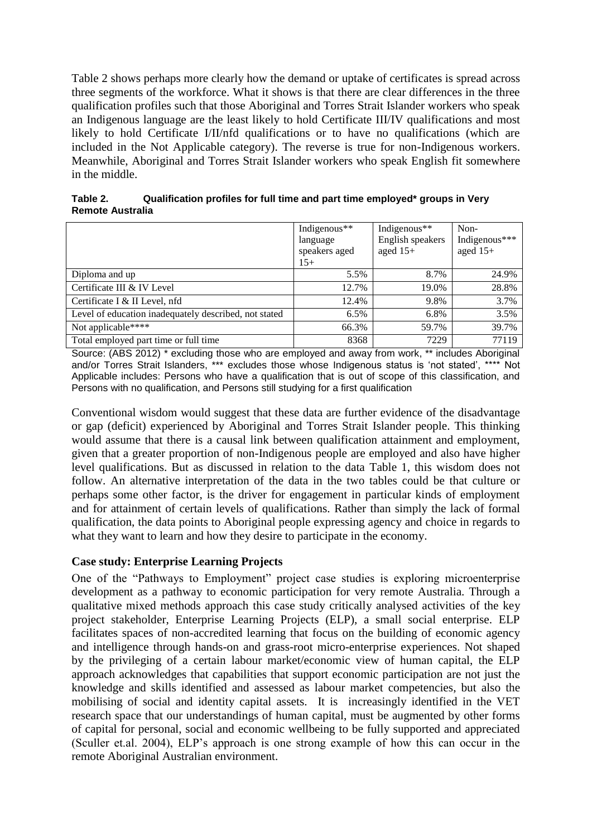[Table 2](#page-6-0) shows perhaps more clearly how the demand or uptake of certificates is spread across three segments of the workforce. What it shows is that there are clear differences in the three qualification profiles such that those Aboriginal and Torres Strait Islander workers who speak an Indigenous language are the least likely to hold Certificate III/IV qualifications and most likely to hold Certificate I/II/nfd qualifications or to have no qualifications (which are included in the Not Applicable category). The reverse is true for non-Indigenous workers. Meanwhile, Aboriginal and Torres Strait Islander workers who speak English fit somewhere in the middle.

<span id="page-6-0"></span>

| Table 2.                | Qualification profiles for full time and part time employed* groups in Very |
|-------------------------|-----------------------------------------------------------------------------|
| <b>Remote Australia</b> |                                                                             |

|                                                       | Indigenous**  | Indigenous**     | Non-          |
|-------------------------------------------------------|---------------|------------------|---------------|
|                                                       | language      | English speakers | Indigenous*** |
|                                                       | speakers aged | aged $15+$       | aged $15+$    |
|                                                       | $15+$         |                  |               |
| Diploma and up                                        | 5.5%          | 8.7%             | 24.9%         |
| Certificate III & IV Level                            | 12.7%         | 19.0%            | 28.8%         |
| Certificate I & II Level, nfd                         | 12.4%         | 9.8%             | 3.7%          |
| Level of education inadequately described, not stated | $6.5\%$       | 6.8%             | 3.5%          |
| Not applicable****                                    | 66.3%         | 59.7%            | 39.7%         |
| Total employed part time or full time                 | 8368          | 7229             | 77119         |

Source: (ABS 2012) \* excluding those who are employed and away from work, \*\* includes Aboriginal and/or Torres Strait Islanders, \*\*\* excludes those whose Indigenous status is 'not stated', \*\*\*\* Not Applicable includes: Persons who have a qualification that is out of scope of this classification, and Persons with no qualification, and Persons still studying for a first qualification

Conventional wisdom would suggest that these data are further evidence of the disadvantage or gap (deficit) experienced by Aboriginal and Torres Strait Islander people. This thinking would assume that there is a causal link between qualification attainment and employment, given that a greater proportion of non-Indigenous people are employed and also have higher level qualifications. But as discussed in relation to the data [Table 1,](#page-5-0) this wisdom does not follow. An alternative interpretation of the data in the two tables could be that culture or perhaps some other factor, is the driver for engagement in particular kinds of employment and for attainment of certain levels of qualifications. Rather than simply the lack of formal qualification, the data points to Aboriginal people expressing agency and choice in regards to what they want to learn and how they desire to participate in the economy.

# **Case study: Enterprise Learning Projects**

One of the "Pathways to Employment" project case studies is exploring microenterprise development as a pathway to economic participation for very remote Australia. Through a qualitative mixed methods approach this case study critically analysed activities of the key project stakeholder, Enterprise Learning Projects (ELP), a small social enterprise. ELP facilitates spaces of non-accredited learning that focus on the building of economic agency and intelligence through hands-on and grass-root micro-enterprise experiences. Not shaped by the privileging of a certain labour market/economic view of human capital, the ELP approach acknowledges that capabilities that support economic participation are not just the knowledge and skills identified and assessed as labour market competencies, but also the mobilising of social and identity capital assets. It is increasingly identified in the VET research space that our understandings of human capital, must be augmented by other forms of capital for personal, social and economic wellbeing to be fully supported and appreciated (Sculler et.al. 2004), ELP's approach is one strong example of how this can occur in the remote Aboriginal Australian environment.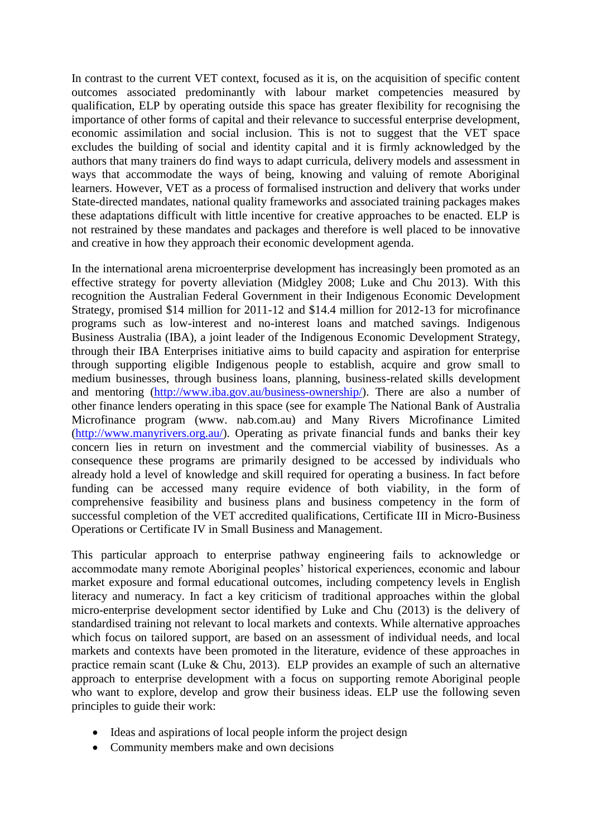In contrast to the current VET context, focused as it is, on the acquisition of specific content outcomes associated predominantly with labour market competencies measured by qualification, ELP by operating outside this space has greater flexibility for recognising the importance of other forms of capital and their relevance to successful enterprise development, economic assimilation and social inclusion. This is not to suggest that the VET space excludes the building of social and identity capital and it is firmly acknowledged by the authors that many trainers do find ways to adapt curricula, delivery models and assessment in ways that accommodate the ways of being, knowing and valuing of remote Aboriginal learners. However, VET as a process of formalised instruction and delivery that works under State-directed mandates, national quality frameworks and associated training packages makes these adaptations difficult with little incentive for creative approaches to be enacted. ELP is not restrained by these mandates and packages and therefore is well placed to be innovative and creative in how they approach their economic development agenda.

In the international arena microenterprise development has increasingly been promoted as an effective strategy for poverty alleviation (Midgley 2008; Luke and Chu 2013). With this recognition the Australian Federal Government in their Indigenous Economic Development Strategy, promised \$14 million for 2011-12 and \$14.4 million for 2012-13 for microfinance programs such as low-interest and no-interest loans and matched savings. Indigenous Business Australia (IBA), a joint leader of the Indigenous Economic Development Strategy, through their IBA Enterprises initiative aims to build capacity and aspiration for enterprise through supporting eligible Indigenous people to establish, acquire and grow small to medium businesses, through business loans, planning, business-related skills development and mentoring [\(http://www.iba.gov.au/business-ownership/\)](http://www.iba.gov.au/business-ownership/). There are also a number of other finance lenders operating in this space (see for example The National Bank of Australia Microfinance program (www. nab.com.au) and Many Rivers Microfinance Limited [\(http://www.manyrivers.org.au/\)](http://www.manyrivers.org.au/). Operating as private financial funds and banks their key concern lies in return on investment and the commercial viability of businesses. As a consequence these programs are primarily designed to be accessed by individuals who already hold a level of knowledge and skill required for operating a business. In fact before funding can be accessed many require evidence of both viability, in the form of comprehensive feasibility and business plans and business competency in the form of successful completion of the VET accredited qualifications, Certificate III in Micro-Business Operations or Certificate IV in Small Business and Management.

This particular approach to enterprise pathway engineering fails to acknowledge or accommodate many remote Aboriginal peoples' historical experiences, economic and labour market exposure and formal educational outcomes, including competency levels in English literacy and numeracy. In fact a key criticism of traditional approaches within the global micro-enterprise development sector identified by Luke and Chu (2013) is the delivery of standardised training not relevant to local markets and contexts. While alternative approaches which focus on tailored support, are based on an assessment of individual needs, and local markets and contexts have been promoted in the literature, evidence of these approaches in practice remain scant (Luke & Chu, 2013). ELP provides an example of such an alternative approach to enterprise development with a focus on supporting remote Aboriginal people who want to explore, develop and grow their business ideas. ELP use the following seven principles to guide their work:

- Ideas and aspirations of local people inform the project design
- Community members make and own decisions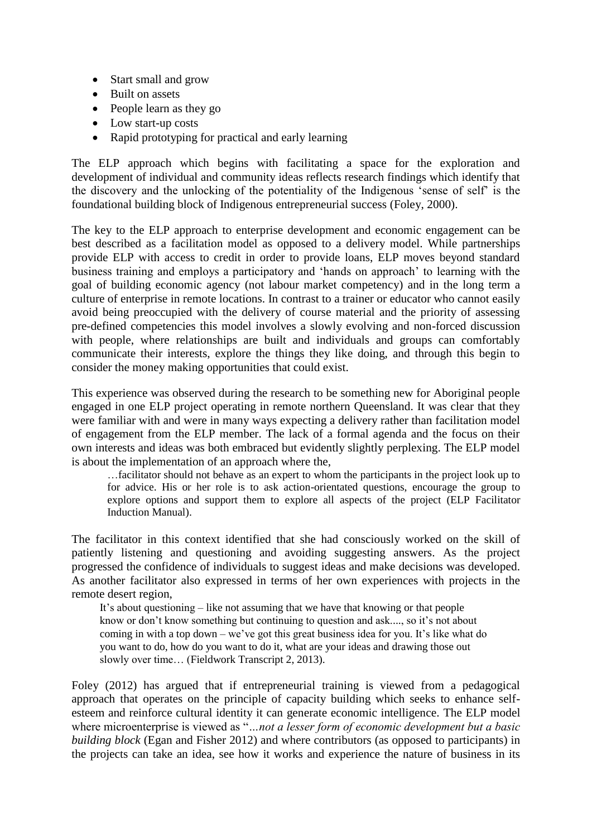- Start small and grow
- Built on assets
- People learn as they go
- Low start-up costs
- Rapid prototyping for practical and early learning

The ELP approach which begins with facilitating a space for the exploration and development of individual and community ideas reflects research findings which identify that the discovery and the unlocking of the potentiality of the Indigenous 'sense of self' is the foundational building block of Indigenous entrepreneurial success (Foley, 2000).

The key to the ELP approach to enterprise development and economic engagement can be best described as a facilitation model as opposed to a delivery model. While partnerships provide ELP with access to credit in order to provide loans, ELP moves beyond standard business training and employs a participatory and 'hands on approach' to learning with the goal of building economic agency (not labour market competency) and in the long term a culture of enterprise in remote locations. In contrast to a trainer or educator who cannot easily avoid being preoccupied with the delivery of course material and the priority of assessing pre-defined competencies this model involves a slowly evolving and non-forced discussion with people, where relationships are built and individuals and groups can comfortably communicate their interests, explore the things they like doing, and through this begin to consider the money making opportunities that could exist.

This experience was observed during the research to be something new for Aboriginal people engaged in one ELP project operating in remote northern Queensland. It was clear that they were familiar with and were in many ways expecting a delivery rather than facilitation model of engagement from the ELP member. The lack of a formal agenda and the focus on their own interests and ideas was both embraced but evidently slightly perplexing. The ELP model is about the implementation of an approach where the,

…facilitator should not behave as an expert to whom the participants in the project look up to for advice. His or her role is to ask action-orientated questions, encourage the group to explore options and support them to explore all aspects of the project (ELP Facilitator Induction Manual).

The facilitator in this context identified that she had consciously worked on the skill of patiently listening and questioning and avoiding suggesting answers. As the project progressed the confidence of individuals to suggest ideas and make decisions was developed. As another facilitator also expressed in terms of her own experiences with projects in the remote desert region,

It's about questioning – like not assuming that we have that knowing or that people know or don't know something but continuing to question and ask...., so it's not about coming in with a top down – we've got this great business idea for you. It's like what do you want to do, how do you want to do it, what are your ideas and drawing those out slowly over time… (Fieldwork Transcript 2, 2013).

Foley (2012) has argued that if entrepreneurial training is viewed from a pedagogical approach that operates on the principle of capacity building which seeks to enhance selfesteem and reinforce cultural identity it can generate economic intelligence. The ELP model where microenterprise is viewed as "*…not a lesser form of economic development but a basic building block* (Egan and Fisher 2012) and where contributors (as opposed to participants) in the projects can take an idea, see how it works and experience the nature of business in its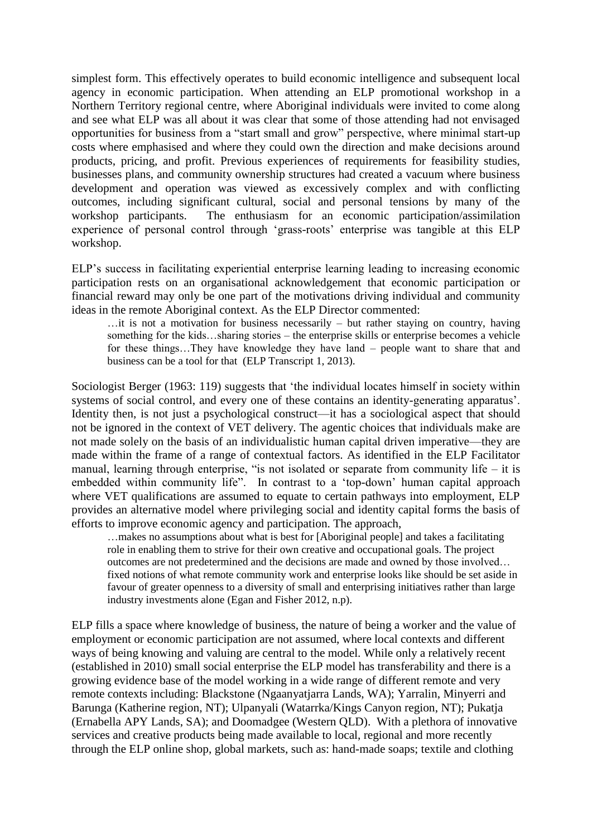simplest form. This effectively operates to build economic intelligence and subsequent local agency in economic participation. When attending an ELP promotional workshop in a Northern Territory regional centre, where Aboriginal individuals were invited to come along and see what ELP was all about it was clear that some of those attending had not envisaged opportunities for business from a "start small and grow" perspective, where minimal start-up costs where emphasised and where they could own the direction and make decisions around products, pricing, and profit. Previous experiences of requirements for feasibility studies, businesses plans, and community ownership structures had created a vacuum where business development and operation was viewed as excessively complex and with conflicting outcomes, including significant cultural, social and personal tensions by many of the workshop participants. The enthusiasm for an economic participation/assimilation experience of personal control through 'grass-roots' enterprise was tangible at this ELP workshop.

ELP's success in facilitating experiential enterprise learning leading to increasing economic participation rests on an organisational acknowledgement that economic participation or financial reward may only be one part of the motivations driving individual and community ideas in the remote Aboriginal context. As the ELP Director commented:

 $\ldots$  it is not a motivation for business necessarily – but rather staving on country, having something for the kids…sharing stories – the enterprise skills or enterprise becomes a vehicle for these things…They have knowledge they have land – people want to share that and business can be a tool for that (ELP Transcript 1, 2013).

Sociologist Berger (1963: 119) suggests that 'the individual locates himself in society within systems of social control, and every one of these contains an identity-generating apparatus'. Identity then, is not just a psychological construct—it has a sociological aspect that should not be ignored in the context of VET delivery. The agentic choices that individuals make are not made solely on the basis of an individualistic human capital driven imperative—they are made within the frame of a range of contextual factors. As identified in the ELP Facilitator manual, learning through enterprise, "is not isolated or separate from community life – it is embedded within community life". In contrast to a 'top-down' human capital approach where VET qualifications are assumed to equate to certain pathways into employment. ELP provides an alternative model where privileging social and identity capital forms the basis of efforts to improve economic agency and participation. The approach,

…makes no assumptions about what is best for [Aboriginal people] and takes a facilitating role in enabling them to strive for their own creative and occupational goals. The project outcomes are not predetermined and the decisions are made and owned by those involved… fixed notions of what remote community work and enterprise looks like should be set aside in favour of greater openness to a diversity of small and enterprising initiatives rather than large industry investments alone (Egan and Fisher 2012, n.p).

ELP fills a space where knowledge of business, the nature of being a worker and the value of employment or economic participation are not assumed, where local contexts and different ways of being knowing and valuing are central to the model. While only a relatively recent (established in 2010) small social enterprise the ELP model has transferability and there is a growing evidence base of the model working in a wide range of different remote and very remote contexts including: Blackstone (Ngaanyatjarra Lands, WA); Yarralin, Minyerri and Barunga (Katherine region, NT); Ulpanyali (Watarrka/Kings Canyon region, NT); Pukatja (Ernabella APY Lands, SA); and Doomadgee (Western QLD). With a plethora of innovative services and creative products being made available to local, regional and more recently through the ELP online shop, global markets, such as: hand-made soaps; textile and clothing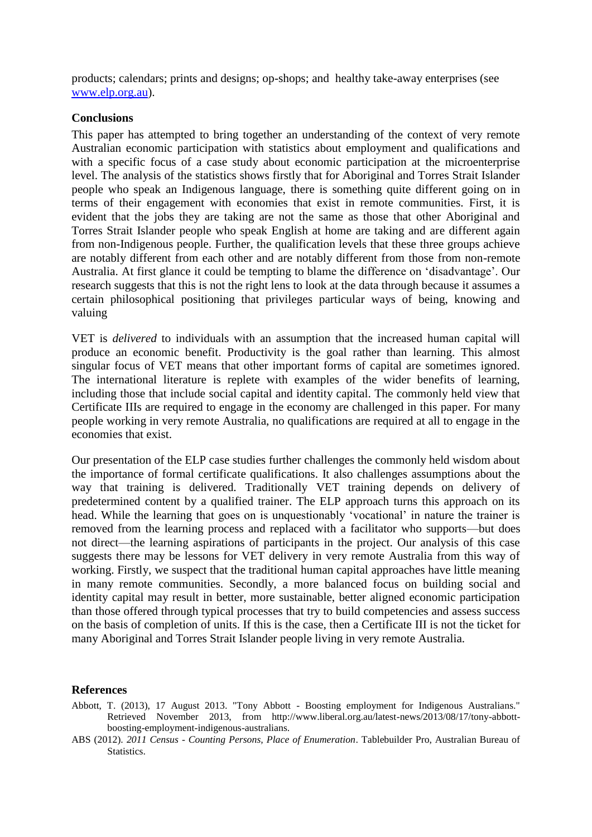products; calendars; prints and designs; op-shops; and healthy take-away enterprises (see [www.elp.org.au\)](http://www.elp.org.au/).

#### **Conclusions**

This paper has attempted to bring together an understanding of the context of very remote Australian economic participation with statistics about employment and qualifications and with a specific focus of a case study about economic participation at the microenterprise level. The analysis of the statistics shows firstly that for Aboriginal and Torres Strait Islander people who speak an Indigenous language, there is something quite different going on in terms of their engagement with economies that exist in remote communities. First, it is evident that the jobs they are taking are not the same as those that other Aboriginal and Torres Strait Islander people who speak English at home are taking and are different again from non-Indigenous people. Further, the qualification levels that these three groups achieve are notably different from each other and are notably different from those from non-remote Australia. At first glance it could be tempting to blame the difference on 'disadvantage'. Our research suggests that this is not the right lens to look at the data through because it assumes a certain philosophical positioning that privileges particular ways of being, knowing and valuing

VET is *delivered* to individuals with an assumption that the increased human capital will produce an economic benefit. Productivity is the goal rather than learning. This almost singular focus of VET means that other important forms of capital are sometimes ignored. The international literature is replete with examples of the wider benefits of learning, including those that include social capital and identity capital. The commonly held view that Certificate IIIs are required to engage in the economy are challenged in this paper. For many people working in very remote Australia, no qualifications are required at all to engage in the economies that exist.

Our presentation of the ELP case studies further challenges the commonly held wisdom about the importance of formal certificate qualifications. It also challenges assumptions about the way that training is delivered. Traditionally VET training depends on delivery of predetermined content by a qualified trainer. The ELP approach turns this approach on its head. While the learning that goes on is unquestionably 'vocational' in nature the trainer is removed from the learning process and replaced with a facilitator who supports—but does not direct—the learning aspirations of participants in the project. Our analysis of this case suggests there may be lessons for VET delivery in very remote Australia from this way of working. Firstly, we suspect that the traditional human capital approaches have little meaning in many remote communities. Secondly, a more balanced focus on building social and identity capital may result in better, more sustainable, better aligned economic participation than those offered through typical processes that try to build competencies and assess success on the basis of completion of units. If this is the case, then a Certificate III is not the ticket for many Aboriginal and Torres Strait Islander people living in very remote Australia.

#### **References**

- Abbott, T. (2013), 17 August 2013. "Tony Abbott Boosting employment for Indigenous Australians." Retrieved November 2013, from http://www.liberal.org.au/latest-news/2013/08/17/tony-abbottboosting-employment-indigenous-australians.
- ABS (2012). *2011 Census - Counting Persons, Place of Enumeration*. Tablebuilder Pro, Australian Bureau of Statistics.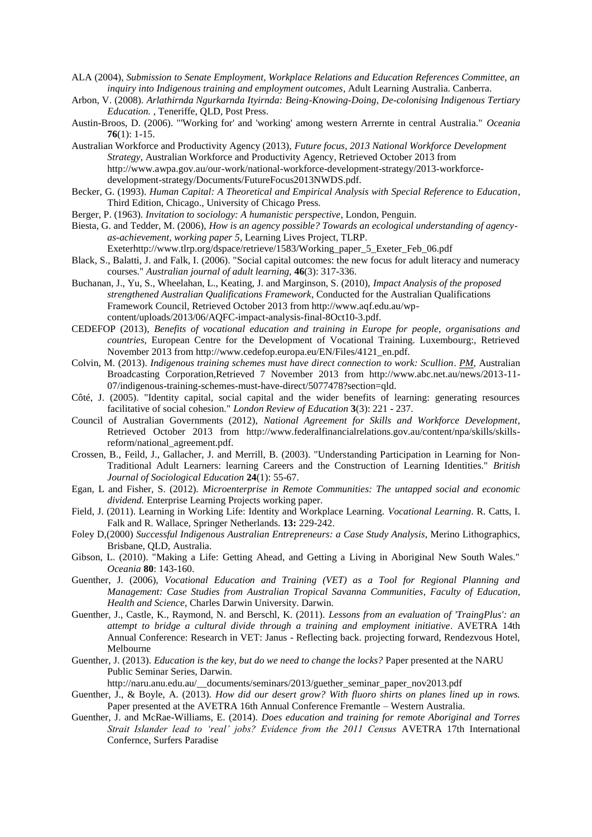- ALA (2004), *Submission to Senate Employment, Workplace Relations and Education References Committee, an inquiry into Indigenous training and employment outcomes*, Adult Learning Australia. Canberra.
- Arbon, V. (2008). *Arlathirnda Ngurkarnda Ityirnda: Being-Knowing-Doing, De-colonising Indigenous Tertiary Education.* , Teneriffe, QLD, Post Press.
- Austin-Broos, D. (2006). "'Working for' and 'working' among western Arrernte in central Australia." *Oceania* **76**(1): 1-15.
- Australian Workforce and Productivity Agency (2013), *Future focus, 2013 National Workforce Development Strategy*, Australian Workforce and Productivity Agency, Retrieved October 2013 from http://www.awpa.gov.au/our-work/national-workforce-development-strategy/2013-workforcedevelopment-strategy/Documents/FutureFocus2013NWDS.pdf.
- Becker, G. (1993). *Human Capital: A Theoretical and Empirical Analysis with Special Reference to Education*, Third Edition, Chicago., University of Chicago Press.
- Berger, P. (1963). *Invitation to sociology: A humanistic perspective*, London, Penguin.
- Biesta, G. and Tedder, M. (2006), *How is an agency possible? Towards an ecological understanding of agencyas-achievement, working paper 5*, Learning Lives Project, TLRP. Exeterhttp://www.tlrp.org/dspace/retrieve/1583/Working\_paper\_5\_Exeter\_Feb\_06.pdf
- Black, S., Balatti, J. and Falk, I. (2006). "Social capital outcomes: the new focus for adult literacy and numeracy courses." *Australian journal of adult learning,* **46**(3): 317-336.
- Buchanan, J., Yu, S., Wheelahan, L., Keating, J. and Marginson, S. (2010), *Impact Analysis of the proposed strengthened Australian Qualifications Framework*, Conducted for the Australian Qualifications Framework Council, Retrieved October 2013 from http://www.aqf.edu.au/wpcontent/uploads/2013/06/AQFC-impact-analysis-final-8Oct10-3.pdf.
- CEDEFOP (2013), *Benefits of vocational education and training in Europe for people, organisations and countries*, European Centre for the Development of Vocational Training. Luxembourg:, Retrieved November 2013 from http://www.cedefop.europa.eu/EN/Files/4121\_en.pdf.
- Colvin, M. (2013). *Indigenous training schemes must have direct connection to work: Scullion*. *PM*, Australian Broadcasting Corporation,Retrieved 7 November 2013 from http://www.abc.net.au/news/2013-11- 07/indigenous-training-schemes-must-have-direct/5077478?section=qld.
- Côté, J. (2005). "Identity capital, social capital and the wider benefits of learning: generating resources facilitative of social cohesion." *London Review of Education* **3**(3): 221 - 237.
- Council of Australian Governments (2012), *National Agreement for Skills and Workforce Development*, Retrieved October 2013 from http://www.federalfinancialrelations.gov.au/content/npa/skills/skillsreform/national\_agreement.pdf.
- Crossen, B., Feild, J., Gallacher, J. and Merrill, B. (2003). "Understanding Participation in Learning for Non-Traditional Adult Learners: learning Careers and the Construction of Learning Identities." *British Journal of Sociological Education* **24**(1): 55-67.
- Egan, L and Fisher, S. (2012). *Microenterprise in Remote Communities: The untapped social and economic dividend.* Enterprise Learning Projects working paper.
- Field, J. (2011). Learning in Working Life: Identity and Workplace Learning. *Vocational Learning*. R. Catts, I. Falk and R. Wallace, Springer Netherlands. **13:** 229-242.
- Foley D,(2000) *Successful Indigenous Australian Entrepreneurs: a Case Study Analysis*, Merino Lithographics, Brisbane, QLD, Australia.
- Gibson, L. (2010). "Making a Life: Getting Ahead, and Getting a Living in Aboriginal New South Wales." *Oceania* **80**: 143-160.
- Guenther, J. (2006), *Vocational Education and Training (VET) as a Tool for Regional Planning and Management: Case Studies from Australian Tropical Savanna Communities*, *Faculty of Education, Health and Science*, Charles Darwin University. Darwin.
- Guenther, J., Castle, K., Raymond, N. and Berschl, K. (2011). *Lessons from an evaluation of 'TraingPlus': an attempt to bridge a cultural divide through a training and employment initiative*. AVETRA 14th Annual Conference: Research in VET: Janus - Reflecting back. projecting forward, Rendezvous Hotel, Melbourne
- Guenther, J. (2013). *Education is the key, but do we need to change the locks?* Paper presented at the NARU Public Seminar Series, Darwin.

http://naru.anu.edu.au/\_\_documents/seminars/2013/guether\_seminar\_paper\_nov2013.pdf

- Guenther, J., & Boyle, A. (2013). *How did our desert grow? With fluoro shirts on planes lined up in rows.* Paper presented at the AVETRA 16th Annual Conference Fremantle – Western Australia.
- Guenther, J. and McRae-Williams, E. (2014). *Does education and training for remote Aboriginal and Torres Strait Islander lead to 'real' jobs? Evidence from the 2011 Census* AVETRA 17th International Confernce, Surfers Paradise